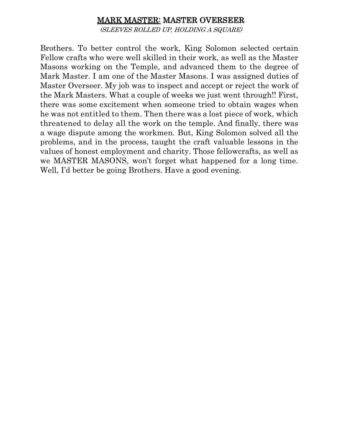## MARK MASTER: MASTER OVERSEER

(SLEEVES ROLLED UP, HOLDING A SQUARE)

Brothers. To better control the work, King Solomon selected certain Fellow crafts who were well skilled in their work, as well as the Master Masons working on the Temple, and advanced them to the degree of Mark Master. I am one of the Master Masons. I was assigned duties of Master Overseer. My job was to inspect and accept or reject the work of the Mark Masters. What a couple of weeks we just went through!! First, there was some excitement when someone tried to obtain wages when he was not entitled to them. Then there was a lost piece of work, which threatened to delay all the work on the temple. And finally, there was a wage dispute among the workmen. But, King Solomon solved all the problems, and in the process, taught the craft valuable lessons in the values of honest employment and charity. Those fellowcrafts, as well as we MASTER MASONS, won't forget what happened for a long time. Well, I'd better be going Brothers. Have a good evening.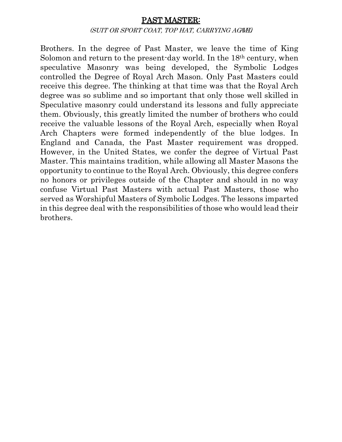#### PAST MASTER:

#### (SUIT OR SPORT COAT, TOP HAT, CARRYING AGAVEL)

Brothers. In the degree of Past Master, we leave the time of King Solomon and return to the present-day world. In the 18th century, when speculative Masonry was being developed, the Symbolic Lodges controlled the Degree of Royal Arch Mason. Only Past Masters could receive this degree. The thinking at that time was that the Royal Arch degree was so sublime and so important that only those well skilled in Speculative masonry could understand its lessons and fully appreciate them. Obviously, this greatly limited the number of brothers who could receive the valuable lessons of the Royal Arch, especially when Royal Arch Chapters were formed independently of the blue lodges. In England and Canada, the Past Master requirement was dropped. However, in the United States, we confer the degree of Virtual Past Master. This maintains tradition, while allowing all Master Masons the opportunity to continue to the Royal Arch. Obviously, this degree confers no honors or privileges outside of the Chapter and should in no way confuse Virtual Past Masters with actual Past Masters, those who served as Worshipful Masters of Symbolic Lodges. The lessons imparted in this degree deal with the responsibilities of those who would lead their brothers.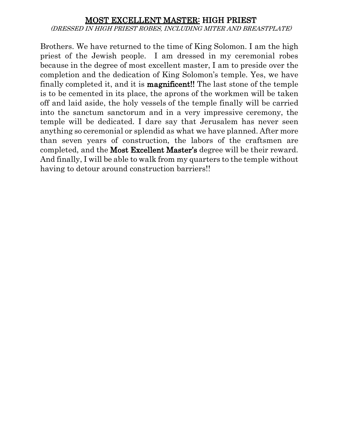#### MOST EXCELLENT MASTER: HIGH PRIEST (DRESSED IN HIGH PRIEST ROBES, INCLUDING MITER AND BREASTPLATE)

Brothers. We have returned to the time of King Solomon. I am the high priest of the Jewish people. I am dressed in my ceremonial robes because in the degree of most excellent master, I am to preside over the completion and the dedication of King Solomon's temple. Yes, we have finally completed it, and it is magnificent!! The last stone of the temple is to be cemented in its place, the aprons of the workmen will be taken off and laid aside, the holy vessels of the temple finally will be carried into the sanctum sanctorum and in a very impressive ceremony, the temple will be dedicated. I dare say that Jerusalem has never seen anything so ceremonial or splendid as what we have planned. After more than seven years of construction, the labors of the craftsmen are completed, and the Most Excellent Master's degree will be their reward. And finally, I will be able to walk from my quarters to the temple without having to detour around construction barriers!!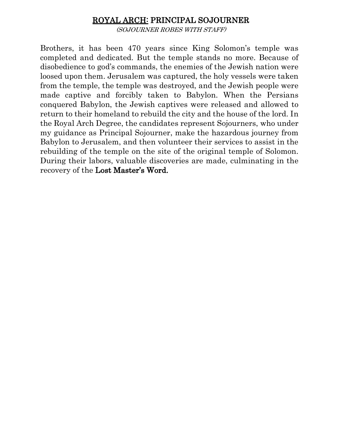## ROYAL ARCH: PRINCIPAL SOJOURNER

(SOJOURNER ROBES WITH STAFF)

Brothers, it has been 470 years since King Solomon's temple was completed and dedicated. But the temple stands no more. Because of disobedience to god's commands, the enemies of the Jewish nation were loosed upon them. Jerusalem was captured, the holy vessels were taken from the temple, the temple was destroyed, and the Jewish people were made captive and forcibly taken to Babylon. When the Persians conquered Babylon, the Jewish captives were released and allowed to return to their homeland to rebuild the city and the house of the lord. In the Royal Arch Degree, the candidates represent Sojourners, who under my guidance as Principal Sojourner, make the hazardous journey from Babylon to Jerusalem, and then volunteer their services to assist in the rebuilding of the temple on the site of the original temple of Solomon. During their labors, valuable discoveries are made, culminating in the recovery of the Lost Master's Word.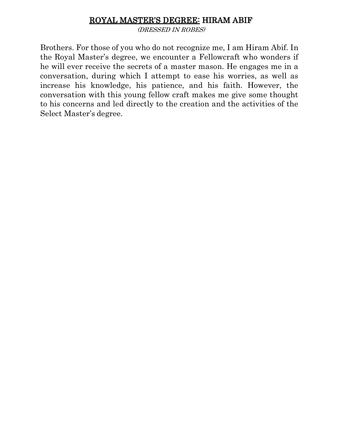# ROYAL MASTER'S DEGREE: HIRAM ABIF

(DRESSED IN ROBES)

Brothers. For those of you who do not recognize me, I am Hiram Abif. In the Royal Master's degree, we encounter a Fellowcraft who wonders if he will ever receive the secrets of a master mason. He engages me in a conversation, during which I attempt to ease his worries, as well as increase his knowledge, his patience, and his faith. However, the conversation with this young fellow craft makes me give some thought to his concerns and led directly to the creation and the activities of the Select Master's degree.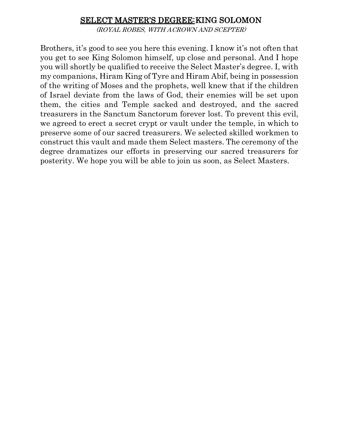### SELECT MASTER'S DEGREE: KING SOLOMON

(ROYAL ROBES, WITH ACROWN AND SCEPTER)

Brothers, it's good to see you here this evening. I know it's not often that you get to see King Solomon himself, up close and personal. And I hope you will shortly be qualified to receive the Select Master's degree. I, with my companions, Hiram King of Tyre and Hiram Abif, being in possession of the writing of Moses and the prophets, well knew that if the children of Israel deviate from the laws of God, their enemies will be set upon them, the cities and Temple sacked and destroyed, and the sacred treasurers in the Sanctum Sanctorum forever lost. To prevent this evil, we agreed to erect a secret crypt or vault under the temple, in which to preserve some of our sacred treasurers. We selected skilled workmen to construct this vault and made them Select masters. The ceremony of the degree dramatizes our efforts in preserving our sacred treasurers for posterity. We hope you will be able to join us soon, as Select Masters.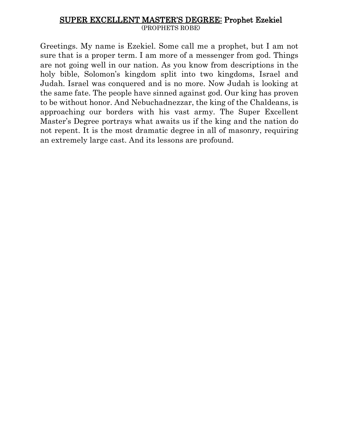#### SUPER EXCELLENT MASTER'S DEGREE: Prophet Ezekiel (PROPHETS ROBE)

Greetings. My name is Ezekiel. Some call me a prophet, but I am not sure that is a proper term. I am more of a messenger from god. Things are not going well in our nation. As you know from descriptions in the holy bible, Solomon's kingdom split into two kingdoms, Israel and Judah. Israel was conquered and is no more. Now Judah is looking at the same fate. The people have sinned against god. Our king has proven to be without honor. And Nebuchadnezzar, the king of the Chaldeans, is approaching our borders with his vast army. The Super Excellent Master's Degree portrays what awaits us if the king and the nation do not repent. It is the most dramatic degree in all of masonry, requiring an extremely large cast. And its lessons are profound.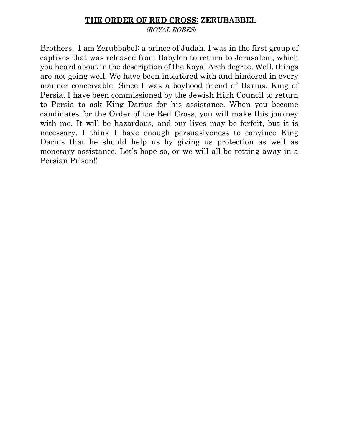#### THE ORDER OF RED CROSS: ZERUBABBEL

(ROYAL ROBES)

Brothers. I am Zerubbabel: a prince of Judah. I was in the first group of captives that was released from Babylon to return to Jerusalem, which you heard about in the description of the Royal Arch degree. Well, things are not going well. We have been interfered with and hindered in every manner conceivable. Since I was a boyhood friend of Darius, King of Persia, I have been commissioned by the Jewish High Council to return to Persia to ask King Darius for his assistance. When you become candidates for the Order of the Red Cross, you will make this journey with me. It will be hazardous, and our lives may be forfeit, but it is necessary. I think I have enough persuasiveness to convince King Darius that he should help us by giving us protection as well as monetary assistance. Let's hope so, or we will all be rotting away in a Persian Prison!!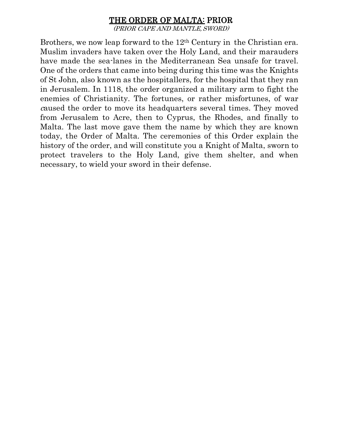# THE ORDER OF MALTA: PRIOR

(PRIOR CAPE AND MANTLE,SWORD)

Brothers, we now leap forward to the 12<sup>th</sup> Century in the Christian era. Muslim invaders have taken over the Holy Land, and their marauders have made the sea-lanes in the Mediterranean Sea unsafe for travel. One of the orders that came into being during this time was the Knights of St John, also known as the hospitallers, for the hospital that they ran in Jerusalem. In 1118, the order organized a military arm to fight the enemies of Christianity. The fortunes, or rather misfortunes, of war <sup>c</sup>aused the order to move its headquarters several times. They moved from Jerusalem to Acre, then to Cyprus, the Rhodes, and finally to Malta. The last move gave them the name by which they are known today, the Order of Malta. The ceremonies of this Order explain the history of the order, and will constitute you a Knight of Malta, sworn to protect travelers to the Holy Land, give them shelter, and when necessary, to wield your sword in their defense.